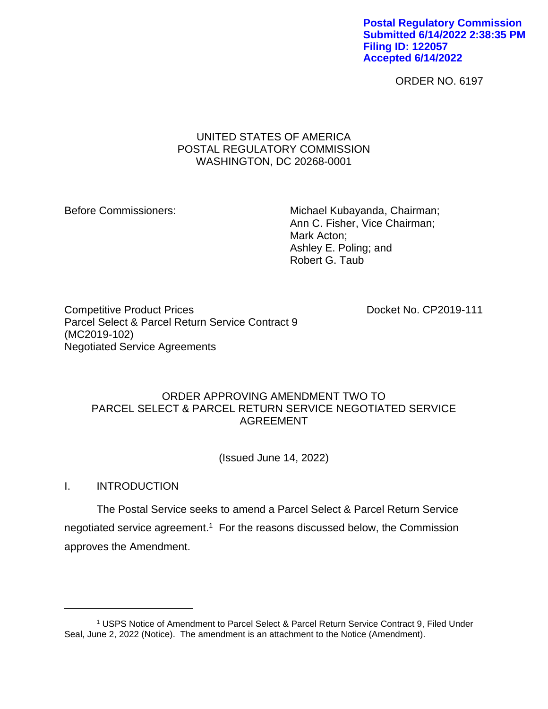**Postal Regulatory Commission Submitted 6/14/2022 2:38:35 PM Filing ID: 122057 Accepted 6/14/2022**

ORDER NO. 6197

# UNITED STATES OF AMERICA POSTAL REGULATORY COMMISSION WASHINGTON, DC 20268-0001

Before Commissioners: Michael Kubayanda, Chairman; Ann C. Fisher, Vice Chairman; Mark Acton; Ashley E. Poling; and Robert G. Taub

Competitive Product Prices **Docket No. CP2019-111** Parcel Select & Parcel Return Service Contract 9 (MC2019-102) Negotiated Service Agreements

## ORDER APPROVING AMENDMENT TWO TO PARCEL SELECT & PARCEL RETURN SERVICE NEGOTIATED SERVICE AGREEMENT

(Issued June 14, 2022)

I. INTRODUCTION

The Postal Service seeks to amend a Parcel Select & Parcel Return Service negotiated service agreement.<sup>1</sup> For the reasons discussed below, the Commission approves the Amendment.

<sup>1</sup> USPS Notice of Amendment to Parcel Select & Parcel Return Service Contract 9, Filed Under Seal, June 2, 2022 (Notice). The amendment is an attachment to the Notice (Amendment).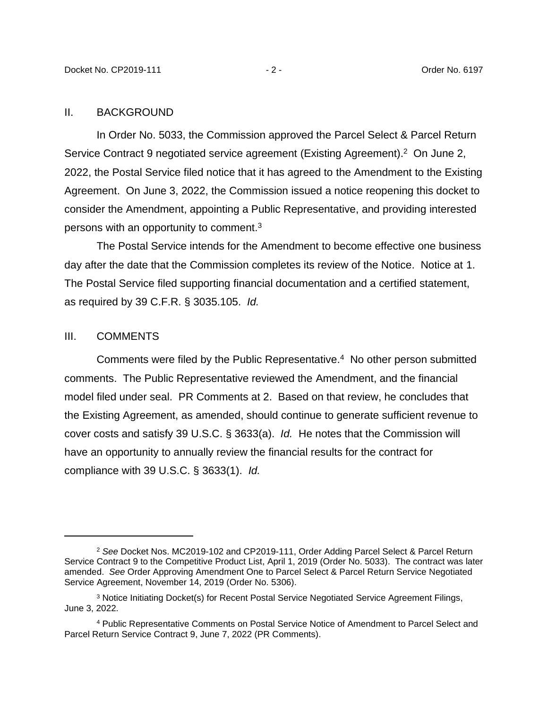### II. BACKGROUND

In Order No. 5033, the Commission approved the Parcel Select & Parcel Return Service Contract 9 negotiated service agreement (Existing Agreement).<sup>2</sup> On June 2, 2022, the Postal Service filed notice that it has agreed to the Amendment to the Existing Agreement. On June 3, 2022, the Commission issued a notice reopening this docket to consider the Amendment, appointing a Public Representative, and providing interested persons with an opportunity to comment.<sup>3</sup>

The Postal Service intends for the Amendment to become effective one business day after the date that the Commission completes its review of the Notice. Notice at 1. The Postal Service filed supporting financial documentation and a certified statement, as required by 39 C.F.R. § 3035.105. *Id.*

### III. COMMENTS

Comments were filed by the Public Representative.<sup>4</sup> No other person submitted comments. The Public Representative reviewed the Amendment, and the financial model filed under seal. PR Comments at 2. Based on that review, he concludes that the Existing Agreement, as amended, should continue to generate sufficient revenue to cover costs and satisfy 39 U.S.C. § 3633(a). *Id.* He notes that the Commission will have an opportunity to annually review the financial results for the contract for compliance with 39 U.S.C. § 3633(1). *Id.*

<sup>2</sup> *See* Docket Nos. MC2019-102 and CP2019-111, Order Adding Parcel Select & Parcel Return Service Contract 9 to the Competitive Product List, April 1, 2019 (Order No. 5033). The contract was later amended. *See* Order Approving Amendment One to Parcel Select & Parcel Return Service Negotiated Service Agreement, November 14, 2019 (Order No. 5306).

<sup>3</sup> Notice Initiating Docket(s) for Recent Postal Service Negotiated Service Agreement Filings, June 3, 2022.

<sup>4</sup> Public Representative Comments on Postal Service Notice of Amendment to Parcel Select and Parcel Return Service Contract 9, June 7, 2022 (PR Comments).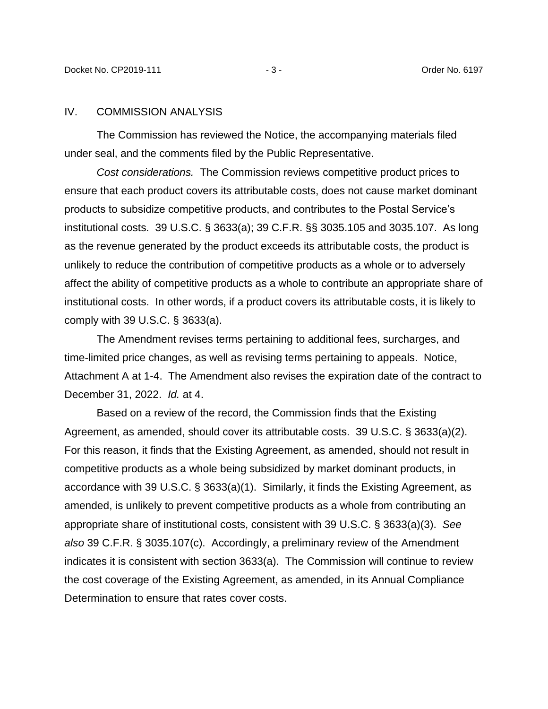### IV. COMMISSION ANALYSIS

The Commission has reviewed the Notice, the accompanying materials filed under seal, and the comments filed by the Public Representative.

*Cost considerations.* The Commission reviews competitive product prices to ensure that each product covers its attributable costs, does not cause market dominant products to subsidize competitive products, and contributes to the Postal Service's institutional costs. 39 U.S.C. § 3633(a); 39 C.F.R. §§ 3035.105 and 3035.107. As long as the revenue generated by the product exceeds its attributable costs, the product is unlikely to reduce the contribution of competitive products as a whole or to adversely affect the ability of competitive products as a whole to contribute an appropriate share of institutional costs. In other words, if a product covers its attributable costs, it is likely to comply with 39 U.S.C. § 3633(a).

The Amendment revises terms pertaining to additional fees, surcharges, and time-limited price changes, as well as revising terms pertaining to appeals. Notice, Attachment A at 1-4. The Amendment also revises the expiration date of the contract to December 31, 2022. *Id.* at 4.

Based on a review of the record, the Commission finds that the Existing Agreement, as amended, should cover its attributable costs. 39 U.S.C. § 3633(a)(2). For this reason, it finds that the Existing Agreement, as amended, should not result in competitive products as a whole being subsidized by market dominant products, in accordance with 39 U.S.C. § 3633(a)(1). Similarly, it finds the Existing Agreement, as amended, is unlikely to prevent competitive products as a whole from contributing an appropriate share of institutional costs, consistent with 39 U.S.C. § 3633(a)(3). *See also* 39 C.F.R. § 3035.107(c). Accordingly, a preliminary review of the Amendment indicates it is consistent with section 3633(a). The Commission will continue to review the cost coverage of the Existing Agreement, as amended, in its Annual Compliance Determination to ensure that rates cover costs.